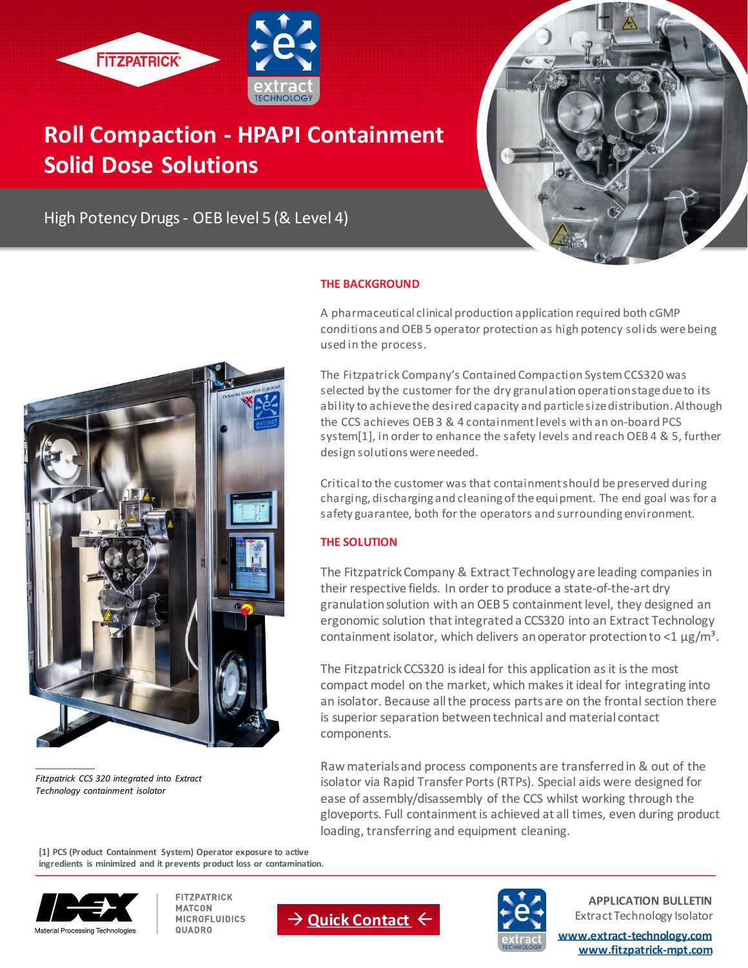



# **Roll Compaction - HPAPI Containment Solid Dose Solutions**

High Potency Drugs - OEB level 5 (& Level 4)



#### **THE BACKGROUND**

A pharmaceutical clinical production application required both cGMP conditions and OEB 5 operator protection as high potency solids were being used in the process.

The Fitzpatrick Company's Contained Compaction System CCS320 was selected by the customer for the dry granulation operation stage due to its ability to achieve the desired capacity and particle size distribution. Although the CCS achieves OEB 3 & 4 containment levels with an on-board PCS system[1], in order to enhance the safety levels and reach OEB 4 & 5, further design solutions were needed.

Critical to the customer was that containment should be preserved during charging, discharging and cleaning of the equipment. The end goal was for a safety guarantee, both for the operators and surrounding environment.

#### **THE SOLUTION**

The Fitzpatrick Company & Extract Technology are leading companies in their respective fields. In order to produce a state-of-the-art dry granulation solution with an OEB 5 containment level, they designed an ergonomic solution that integrated a CCS320 into an Extract Technology containment isolator, which delivers an operator protection to  $<$ 1  $\mu$ g/m<sup>3</sup>.

The Fitzpatrick CCS320 is ideal for this application as it is the most compact model on the market, which makes it ideal for integrating into an isolator. Because all the process parts are on the frontal section there is superior separation between technical and material contact components.

Raw materials and process components are transferred in & out of the isolator via Rapid Transfer Ports (RTPs). Special aids were designed for ease of assembly/disassembly of the CCS whilst working through the gloveports. Full containment is achieved at all times, even during product loading, transferring and equipment cleaning.

**[1] PCS (Product Containment System) Operator exposure to active ingredients is minimized and it prevents product loss or contamination***.*



*Fitzpatrick CCS 320 integrated into Extract Technology containment isolator*

> **FITZPATRICK MATCON MICROFLUIDICS** QUADRO





**APPLICATION BULLETIN** Extract Technology Isolator

**[www.extract-technology.com](http://www.extract-technology.com/) [www.fitzpatrick-mpt.com](http://www.fitzpatrick-mpt.com/)**